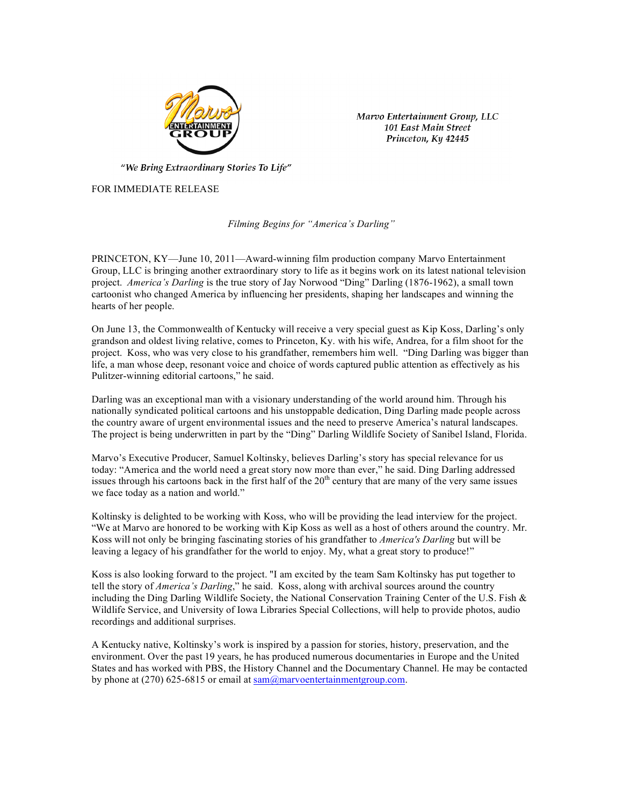

Marvo Entertainment Group, LLC 101 East Main Street Princeton, Ky 42445

"We Bring Extraordinary Stories To Life"

FOR IMMEDIATE RELEASE

*Filming Begins for "America's Darling"*

PRINCETON, KY—June 10, 2011—Award-winning film production company Marvo Entertainment Group, LLC is bringing another extraordinary story to life as it begins work on its latest national television project. *America's Darling* is the true story of Jay Norwood "Ding" Darling (1876-1962), a small town cartoonist who changed America by influencing her presidents, shaping her landscapes and winning the hearts of her people.

On June 13, the Commonwealth of Kentucky will receive a very special guest as Kip Koss, Darling's only grandson and oldest living relative, comes to Princeton, Ky. with his wife, Andrea, for a film shoot for the project. Koss, who was very close to his grandfather, remembers him well. "Ding Darling was bigger than life, a man whose deep, resonant voice and choice of words captured public attention as effectively as his Pulitzer-winning editorial cartoons," he said.

Darling was an exceptional man with a visionary understanding of the world around him. Through his nationally syndicated political cartoons and his unstoppable dedication, Ding Darling made people across the country aware of urgent environmental issues and the need to preserve America's natural landscapes. The project is being underwritten in part by the "Ding" Darling Wildlife Society of Sanibel Island, Florida.

Marvo's Executive Producer, Samuel Koltinsky, believes Darling's story has special relevance for us today: "America and the world need a great story now more than ever," he said. Ding Darling addressed issues through his cartoons back in the first half of the 20<sup>th</sup> century that are many of the very same issues we face today as a nation and world."

Koltinsky is delighted to be working with Koss, who will be providing the lead interview for the project. "We at Marvo are honored to be working with Kip Koss as well as a host of others around the country. Mr. Koss will not only be bringing fascinating stories of his grandfather to *America's Darling* but will be leaving a legacy of his grandfather for the world to enjoy. My, what a great story to produce!"

Koss is also looking forward to the project. "I am excited by the team Sam Koltinsky has put together to tell the story of *America's Darling*," he said. Koss, along with archival sources around the country including the Ding Darling Wildlife Society, the National Conservation Training Center of the U.S. Fish  $\&$ Wildlife Service, and University of Iowa Libraries Special Collections, will help to provide photos, audio recordings and additional surprises.

A Kentucky native, Koltinsky's work is inspired by a passion for stories, history, preservation, and the environment. Over the past 19 years, he has produced numerous documentaries in Europe and the United States and has worked with PBS, the History Channel and the Documentary Channel. He may be contacted by phone at (270) 625-6815 or email at  $\frac{\text{sam}}{\text{dam}}$   $\frac{\text{am}}{\text{am}}$  row entertainment group.com.